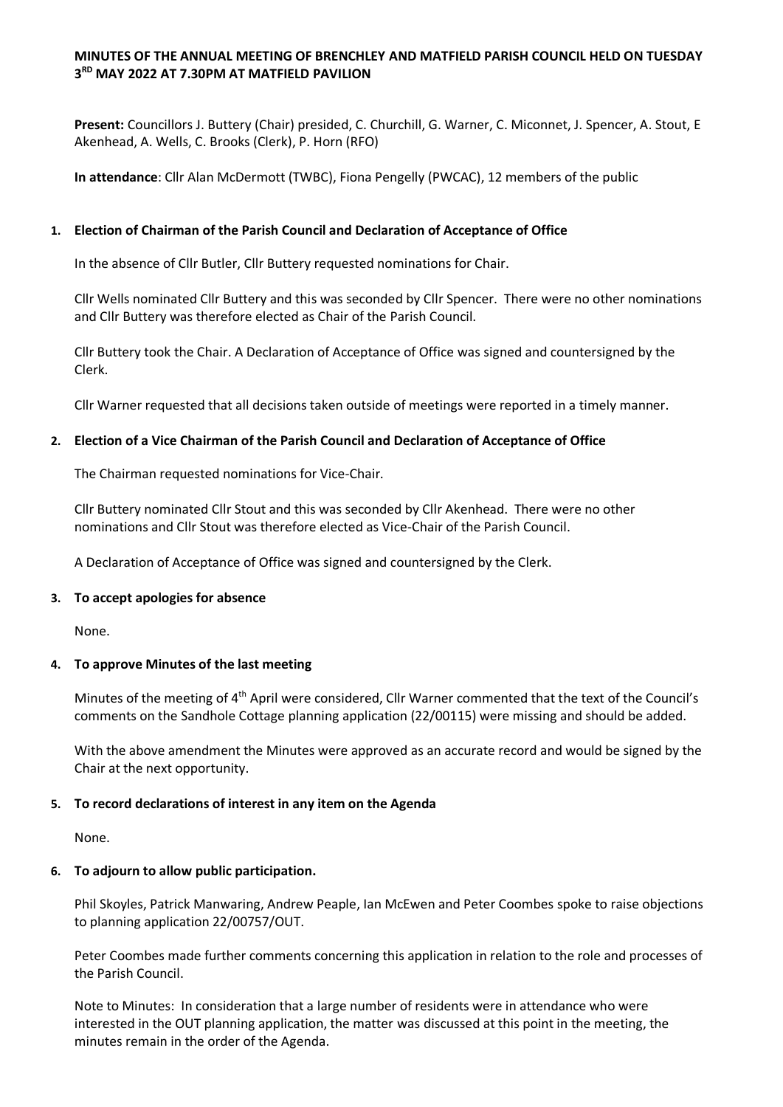## **MINUTES OF THE ANNUAL MEETING OF BRENCHLEY AND MATFIELD PARISH COUNCIL HELD ON TUESDAY 3 RD MAY 2022 AT 7.30PM AT MATFIELD PAVILION**

**Present:** Councillors J. Buttery (Chair) presided, C. Churchill, G. Warner, C. Miconnet, J. Spencer, A. Stout, E Akenhead, A. Wells, C. Brooks (Clerk), P. Horn (RFO)

**In attendance**: Cllr Alan McDermott (TWBC), Fiona Pengelly (PWCAC), 12 members of the public

## **1. Election of Chairman of the Parish Council and Declaration of Acceptance of Office**

In the absence of Cllr Butler, Cllr Buttery requested nominations for Chair.

Cllr Wells nominated Cllr Buttery and this was seconded by Cllr Spencer. There were no other nominations and Cllr Buttery was therefore elected as Chair of the Parish Council.

Cllr Buttery took the Chair. A Declaration of Acceptance of Office was signed and countersigned by the Clerk.

Cllr Warner requested that all decisions taken outside of meetings were reported in a timely manner.

### **2. Election of a Vice Chairman of the Parish Council and Declaration of Acceptance of Office**

The Chairman requested nominations for Vice-Chair.

Cllr Buttery nominated Cllr Stout and this was seconded by Cllr Akenhead. There were no other nominations and Cllr Stout was therefore elected as Vice-Chair of the Parish Council.

A Declaration of Acceptance of Office was signed and countersigned by the Clerk.

### **3. To accept apologies for absence**

None.

### **4. To approve Minutes of the last meeting**

Minutes of the meeting of 4th April were considered, Cllr Warner commented that the text of the Council's comments on the Sandhole Cottage planning application (22/00115) were missing and should be added.

With the above amendment the Minutes were approved as an accurate record and would be signed by the Chair at the next opportunity.

### **5. To record declarations of interest in any item on the Agenda**

None.

### **6. To adjourn to allow public participation.**

Phil Skoyles, Patrick Manwaring, Andrew Peaple, Ian McEwen and Peter Coombes spoke to raise objections to planning application 22/00757/OUT.

Peter Coombes made further comments concerning this application in relation to the role and processes of the Parish Council.

Note to Minutes: In consideration that a large number of residents were in attendance who were interested in the OUT planning application, the matter was discussed at this point in the meeting, the minutes remain in the order of the Agenda.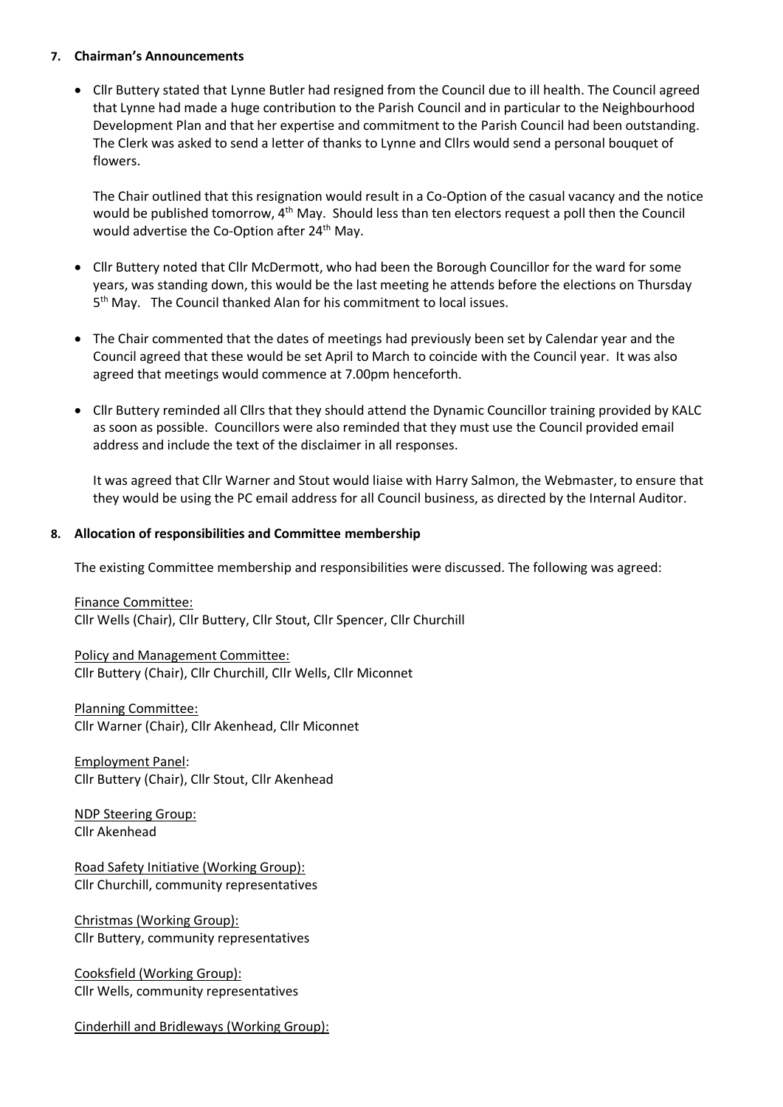#### **7. Chairman's Announcements**

 Cllr Buttery stated that Lynne Butler had resigned from the Council due to ill health. The Council agreed that Lynne had made a huge contribution to the Parish Council and in particular to the Neighbourhood Development Plan and that her expertise and commitment to the Parish Council had been outstanding. The Clerk was asked to send a letter of thanks to Lynne and Cllrs would send a personal bouquet of flowers.

The Chair outlined that this resignation would result in a Co-Option of the casual vacancy and the notice would be published tomorrow, 4<sup>th</sup> May. Should less than ten electors request a poll then the Council would advertise the Co-Option after 24<sup>th</sup> May.

- Cllr Buttery noted that Cllr McDermott, who had been the Borough Councillor for the ward for some years, was standing down, this would be the last meeting he attends before the elections on Thursday 5<sup>th</sup> May. The Council thanked Alan for his commitment to local issues.
- The Chair commented that the dates of meetings had previously been set by Calendar year and the Council agreed that these would be set April to March to coincide with the Council year. It was also agreed that meetings would commence at 7.00pm henceforth.
- Cllr Buttery reminded all Cllrs that they should attend the Dynamic Councillor training provided by KALC as soon as possible. Councillors were also reminded that they must use the Council provided email address and include the text of the disclaimer in all responses.

It was agreed that Cllr Warner and Stout would liaise with Harry Salmon, the Webmaster, to ensure that they would be using the PC email address for all Council business, as directed by the Internal Auditor.

### **8. Allocation of responsibilities and Committee membership**

The existing Committee membership and responsibilities were discussed. The following was agreed:

Finance Committee: Cllr Wells (Chair), Cllr Buttery, Cllr Stout, Cllr Spencer, Cllr Churchill

Policy and Management Committee: Cllr Buttery (Chair), Cllr Churchill, Cllr Wells, Cllr Miconnet

Planning Committee: Cllr Warner (Chair), Cllr Akenhead, Cllr Miconnet

Employment Panel: Cllr Buttery (Chair), Cllr Stout, Cllr Akenhead

NDP Steering Group: Cllr Akenhead

Road Safety Initiative (Working Group): Cllr Churchill, community representatives

Christmas (Working Group): Cllr Buttery, community representatives

Cooksfield (Working Group): Cllr Wells, community representatives

Cinderhill and Bridleways (Working Group):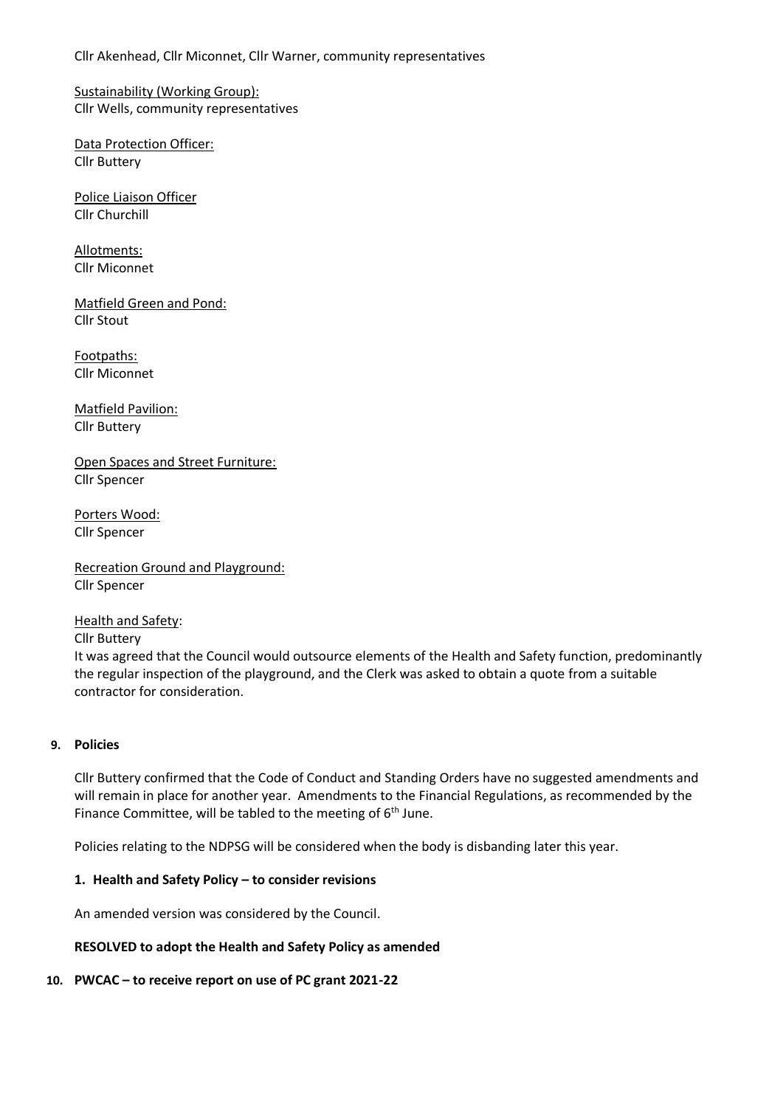Cllr Akenhead, Cllr Miconnet, Cllr Warner, community representatives

Sustainability (Working Group): Cllr Wells, community representatives

Data Protection Officer: Cllr Buttery

Police Liaison Officer Cllr Churchill

Allotments: Cllr Miconnet

Matfield Green and Pond: Cllr Stout

Footpaths: Cllr Miconnet

Matfield Pavilion: Cllr Buttery

Open Spaces and Street Furniture: Cllr Spencer

Porters Wood: Cllr Spencer

Recreation Ground and Playground: Cllr Spencer

Health and Safety: Cllr Buttery

It was agreed that the Council would outsource elements of the Health and Safety function, predominantly the regular inspection of the playground, and the Clerk was asked to obtain a quote from a suitable contractor for consideration.

## **9. Policies**

Cllr Buttery confirmed that the Code of Conduct and Standing Orders have no suggested amendments and will remain in place for another year. Amendments to the Financial Regulations, as recommended by the Finance Committee, will be tabled to the meeting of  $6<sup>th</sup>$  June.

Policies relating to the NDPSG will be considered when the body is disbanding later this year.

### **1. Health and Safety Policy – to consider revisions**

An amended version was considered by the Council.

### **RESOLVED to adopt the Health and Safety Policy as amended**

### **10. PWCAC – to receive report on use of PC grant 2021-22**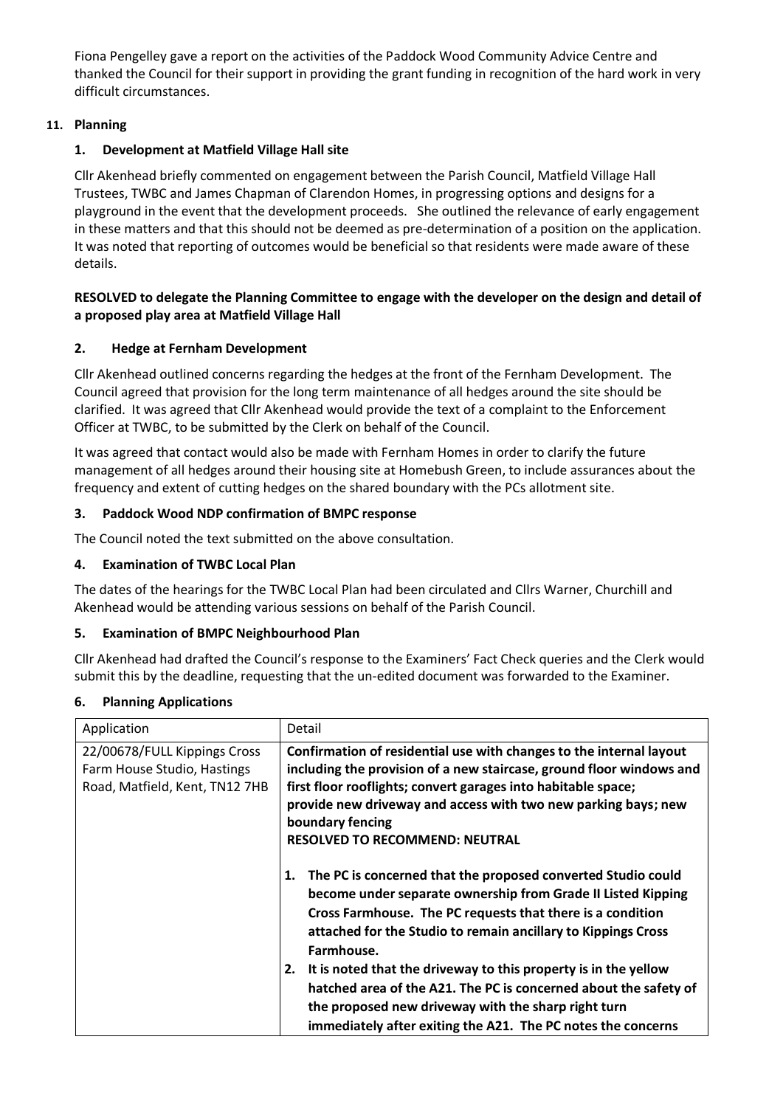Fiona Pengelley gave a report on the activities of the Paddock Wood Community Advice Centre and thanked the Council for their support in providing the grant funding in recognition of the hard work in very difficult circumstances.

# **11. Planning**

# **1. Development at Matfield Village Hall site**

Cllr Akenhead briefly commented on engagement between the Parish Council, Matfield Village Hall Trustees, TWBC and James Chapman of Clarendon Homes, in progressing options and designs for a playground in the event that the development proceeds. She outlined the relevance of early engagement in these matters and that this should not be deemed as pre-determination of a position on the application. It was noted that reporting of outcomes would be beneficial so that residents were made aware of these details.

## **RESOLVED to delegate the Planning Committee to engage with the developer on the design and detail of a proposed play area at Matfield Village Hall**

# **2. Hedge at Fernham Development**

Cllr Akenhead outlined concerns regarding the hedges at the front of the Fernham Development. The Council agreed that provision for the long term maintenance of all hedges around the site should be clarified. It was agreed that Cllr Akenhead would provide the text of a complaint to the Enforcement Officer at TWBC, to be submitted by the Clerk on behalf of the Council.

It was agreed that contact would also be made with Fernham Homes in order to clarify the future management of all hedges around their housing site at Homebush Green, to include assurances about the frequency and extent of cutting hedges on the shared boundary with the PCs allotment site.

# **3. Paddock Wood NDP confirmation of BMPC response**

The Council noted the text submitted on the above consultation.

## **4. Examination of TWBC Local Plan**

The dates of the hearings for the TWBC Local Plan had been circulated and Cllrs Warner, Churchill and Akenhead would be attending various sessions on behalf of the Parish Council.

## **5. Examination of BMPC Neighbourhood Plan**

Cllr Akenhead had drafted the Council's response to the Examiners' Fact Check queries and the Clerk would submit this by the deadline, requesting that the un-edited document was forwarded to the Examiner.

## **6. Planning Applications**

| Application                                                                                   | Detail                                                                                                                                                                                                                                                                                                                                                                                                                                                                                                                                           |
|-----------------------------------------------------------------------------------------------|--------------------------------------------------------------------------------------------------------------------------------------------------------------------------------------------------------------------------------------------------------------------------------------------------------------------------------------------------------------------------------------------------------------------------------------------------------------------------------------------------------------------------------------------------|
| 22/00678/FULL Kippings Cross<br>Farm House Studio, Hastings<br>Road, Matfield, Kent, TN12 7HB | Confirmation of residential use with changes to the internal layout<br>including the provision of a new staircase, ground floor windows and<br>first floor rooflights; convert garages into habitable space;<br>provide new driveway and access with two new parking bays; new<br>boundary fencing<br><b>RESOLVED TO RECOMMEND: NEUTRAL</b>                                                                                                                                                                                                      |
|                                                                                               | The PC is concerned that the proposed converted Studio could<br>1.<br>become under separate ownership from Grade II Listed Kipping<br>Cross Farmhouse. The PC requests that there is a condition<br>attached for the Studio to remain ancillary to Kippings Cross<br>Farmhouse.<br>2. It is noted that the driveway to this property is in the yellow<br>hatched area of the A21. The PC is concerned about the safety of<br>the proposed new driveway with the sharp right turn<br>immediately after exiting the A21. The PC notes the concerns |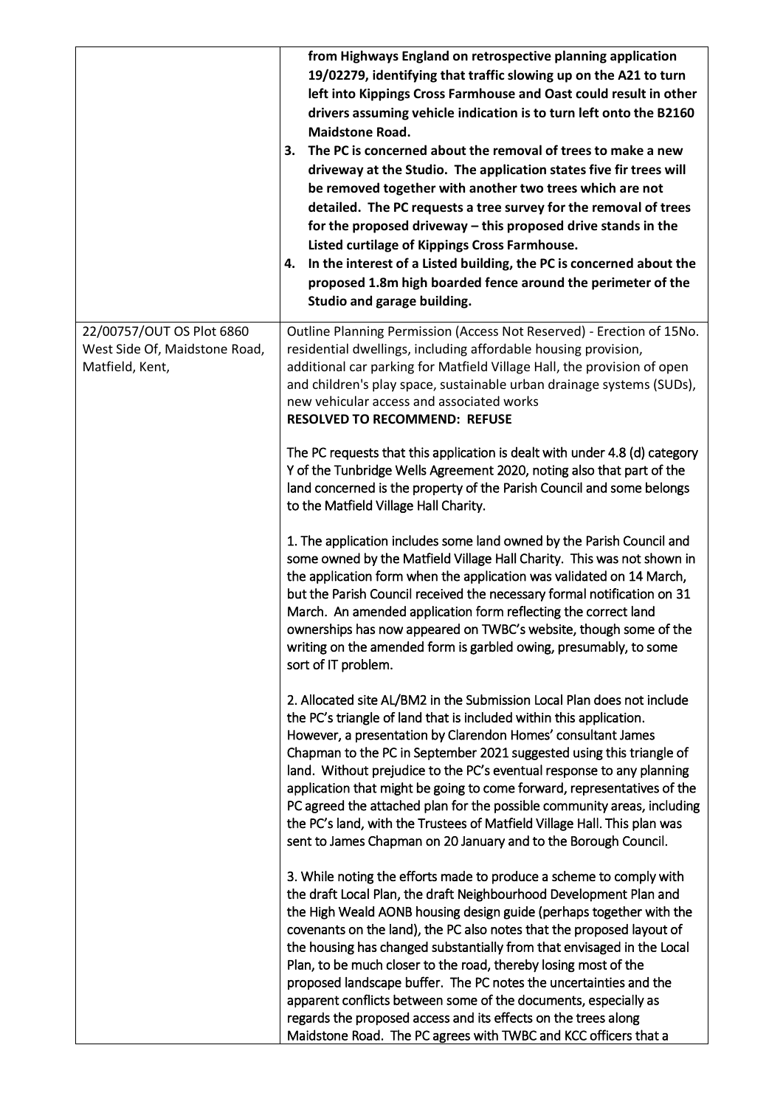|                                                                               | from Highways England on retrospective planning application<br>19/02279, identifying that traffic slowing up on the A21 to turn<br>left into Kippings Cross Farmhouse and Oast could result in other<br>drivers assuming vehicle indication is to turn left onto the B2160<br><b>Maidstone Road.</b><br>The PC is concerned about the removal of trees to make a new<br>З.<br>driveway at the Studio. The application states five fir trees will<br>be removed together with another two trees which are not<br>detailed. The PC requests a tree survey for the removal of trees<br>for the proposed driveway - this proposed drive stands in the<br>Listed curtilage of Kippings Cross Farmhouse.<br>In the interest of a Listed building, the PC is concerned about the<br>4.<br>proposed 1.8m high boarded fence around the perimeter of the<br>Studio and garage building. |
|-------------------------------------------------------------------------------|--------------------------------------------------------------------------------------------------------------------------------------------------------------------------------------------------------------------------------------------------------------------------------------------------------------------------------------------------------------------------------------------------------------------------------------------------------------------------------------------------------------------------------------------------------------------------------------------------------------------------------------------------------------------------------------------------------------------------------------------------------------------------------------------------------------------------------------------------------------------------------|
| 22/00757/OUT OS Plot 6860<br>West Side Of, Maidstone Road,<br>Matfield, Kent, | Outline Planning Permission (Access Not Reserved) - Erection of 15No.<br>residential dwellings, including affordable housing provision,<br>additional car parking for Matfield Village Hall, the provision of open<br>and children's play space, sustainable urban drainage systems (SUDs),<br>new vehicular access and associated works<br><b>RESOLVED TO RECOMMEND: REFUSE</b>                                                                                                                                                                                                                                                                                                                                                                                                                                                                                               |
|                                                                               | The PC requests that this application is dealt with under 4.8 (d) category<br>Y of the Tunbridge Wells Agreement 2020, noting also that part of the<br>land concerned is the property of the Parish Council and some belongs<br>to the Matfield Village Hall Charity.                                                                                                                                                                                                                                                                                                                                                                                                                                                                                                                                                                                                          |
|                                                                               | 1. The application includes some land owned by the Parish Council and<br>some owned by the Matfield Village Hall Charity. This was not shown in<br>the application form when the application was validated on 14 March,<br>but the Parish Council received the necessary formal notification on 31<br>March. An amended application form reflecting the correct land<br>ownerships has now appeared on TWBC's website, though some of the<br>writing on the amended form is garbled owing, presumably, to some<br>sort of IT problem.                                                                                                                                                                                                                                                                                                                                          |
|                                                                               | 2. Allocated site AL/BM2 in the Submission Local Plan does not include<br>the PC's triangle of land that is included within this application.<br>However, a presentation by Clarendon Homes' consultant James<br>Chapman to the PC in September 2021 suggested using this triangle of<br>land. Without prejudice to the PC's eventual response to any planning<br>application that might be going to come forward, representatives of the<br>PC agreed the attached plan for the possible community areas, including<br>the PC's land, with the Trustees of Matfield Village Hall. This plan was<br>sent to James Chapman on 20 January and to the Borough Council.                                                                                                                                                                                                            |
|                                                                               | 3. While noting the efforts made to produce a scheme to comply with<br>the draft Local Plan, the draft Neighbourhood Development Plan and<br>the High Weald AONB housing design guide (perhaps together with the<br>covenants on the land), the PC also notes that the proposed layout of<br>the housing has changed substantially from that envisaged in the Local<br>Plan, to be much closer to the road, thereby losing most of the<br>proposed landscape buffer. The PC notes the uncertainties and the<br>apparent conflicts between some of the documents, especially as<br>regards the proposed access and its effects on the trees along<br>Maidstone Road. The PC agrees with TWBC and KCC officers that a                                                                                                                                                            |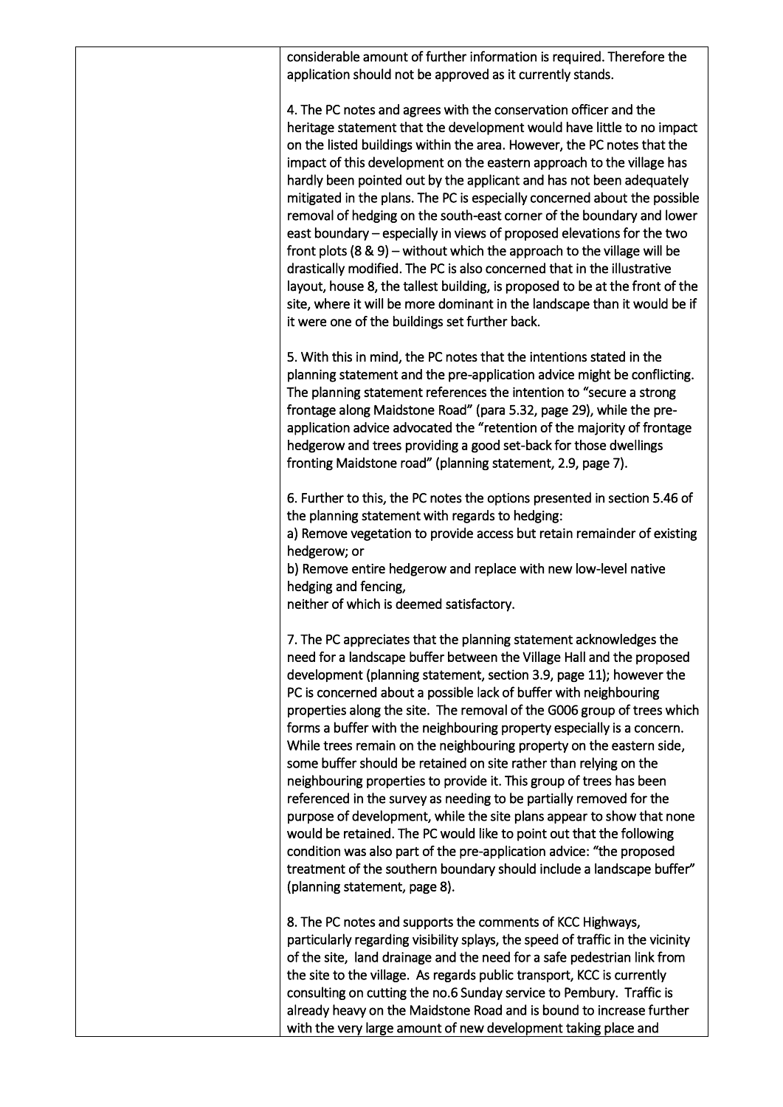| considerable amount of further information is required. Therefore the<br>application should not be approved as it currently stands.                                                                                                                                                                                                                                                                                                                                                                                                                                                                                                                                                                                                                                                                                                                                                                                                                                                                                                                                        |
|----------------------------------------------------------------------------------------------------------------------------------------------------------------------------------------------------------------------------------------------------------------------------------------------------------------------------------------------------------------------------------------------------------------------------------------------------------------------------------------------------------------------------------------------------------------------------------------------------------------------------------------------------------------------------------------------------------------------------------------------------------------------------------------------------------------------------------------------------------------------------------------------------------------------------------------------------------------------------------------------------------------------------------------------------------------------------|
| 4. The PC notes and agrees with the conservation officer and the<br>heritage statement that the development would have little to no impact<br>on the listed buildings within the area. However, the PC notes that the<br>impact of this development on the eastern approach to the village has<br>hardly been pointed out by the applicant and has not been adequately<br>mitigated in the plans. The PC is especially concerned about the possible<br>removal of hedging on the south-east corner of the boundary and lower<br>east boundary – especially in views of proposed elevations for the two<br>front plots $(8 \& 9)$ – without which the approach to the village will be<br>drastically modified. The PC is also concerned that in the illustrative<br>layout, house 8, the tallest building, is proposed to be at the front of the<br>site, where it will be more dominant in the landscape than it would be if<br>it were one of the buildings set further back.                                                                                             |
| 5. With this in mind, the PC notes that the intentions stated in the<br>planning statement and the pre-application advice might be conflicting.<br>The planning statement references the intention to "secure a strong<br>frontage along Maidstone Road" (para 5.32, page 29), while the pre-<br>application advice advocated the "retention of the majority of frontage<br>hedgerow and trees providing a good set-back for those dwellings<br>fronting Maidstone road" (planning statement, 2.9, page 7).                                                                                                                                                                                                                                                                                                                                                                                                                                                                                                                                                                |
| 6. Further to this, the PC notes the options presented in section 5.46 of<br>the planning statement with regards to hedging:<br>a) Remove vegetation to provide access but retain remainder of existing<br>hedgerow; or<br>b) Remove entire hedgerow and replace with new low-level native<br>hedging and fencing,<br>neither of which is deemed satisfactory.                                                                                                                                                                                                                                                                                                                                                                                                                                                                                                                                                                                                                                                                                                             |
| 7. The PC appreciates that the planning statement acknowledges the<br>need for a landscape buffer between the Village Hall and the proposed<br>development (planning statement, section 3.9, page 11); however the<br>PC is concerned about a possible lack of buffer with neighbouring<br>properties along the site. The removal of the G006 group of trees which<br>forms a buffer with the neighbouring property especially is a concern.<br>While trees remain on the neighbouring property on the eastern side,<br>some buffer should be retained on site rather than relying on the<br>neighbouring properties to provide it. This group of trees has been<br>referenced in the survey as needing to be partially removed for the<br>purpose of development, while the site plans appear to show that none<br>would be retained. The PC would like to point out that the following<br>condition was also part of the pre-application advice: "the proposed<br>treatment of the southern boundary should include a landscape buffer"<br>(planning statement, page 8). |
| 8. The PC notes and supports the comments of KCC Highways,<br>particularly regarding visibility splays, the speed of traffic in the vicinity<br>of the site, land drainage and the need for a safe pedestrian link from<br>the site to the village. As regards public transport, KCC is currently<br>consulting on cutting the no.6 Sunday service to Pembury. Traffic is<br>already heavy on the Maidstone Road and is bound to increase further<br>with the very large amount of new development taking place and                                                                                                                                                                                                                                                                                                                                                                                                                                                                                                                                                        |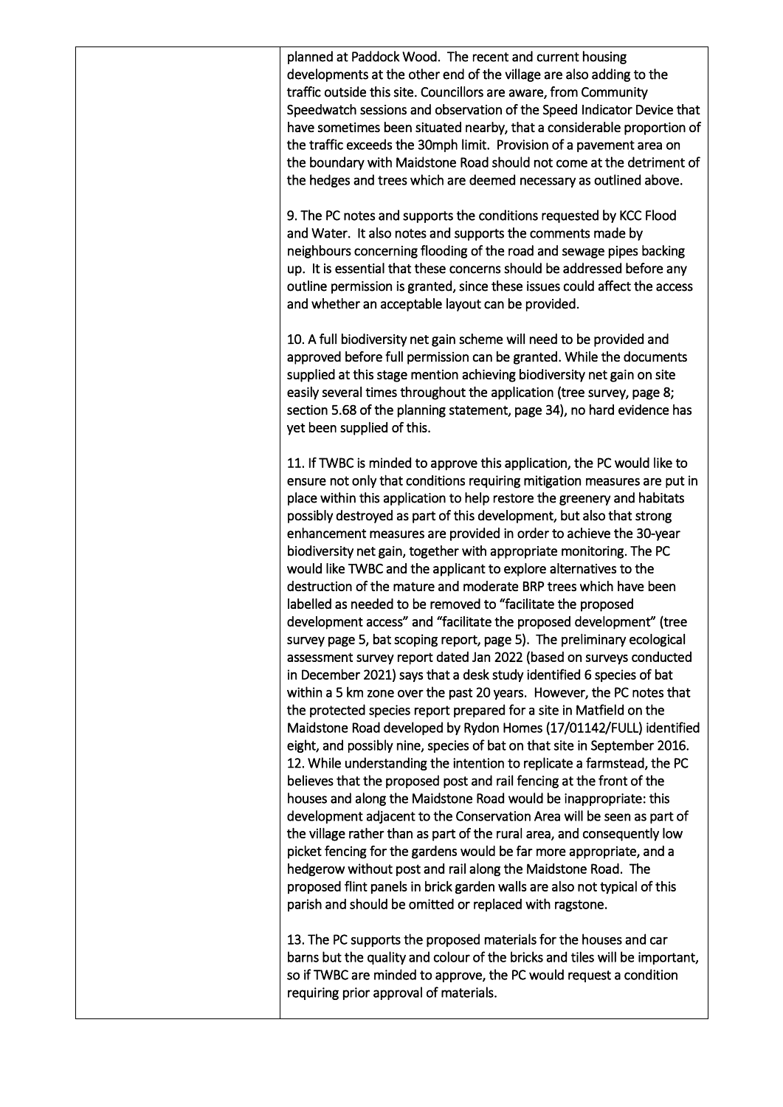planned at Paddock Wood. The recent and current housing developments at the other end of the village are also adding to the traffic outside this site. Councillors are aware, from Community Speedwatch sessions and observation of the Speed Indicator Device that have sometimes been situated nearby, that a considerable proportion of the traffic exceeds the 30mph limit. Provision of a pavement area on the boundary with Maidstone Road should not come at the detriment of the hedges and trees which are deemed necessary as outlined above. 9. The PC notes and supports the conditions requested by KCC Flood and Water. It also notes and supports the comments made by neighbours concerning flooding of the road and sewage pipes backing up. It is essential that these concerns should be addressed before any outline permission is granted, since these issues could affect the access and whether an acceptable layout can be provided. 10. A full biodiversity net gain scheme will need to be provided and approved before full permission can be granted. While the documents supplied at this stage mention achieving biodiversity net gain on site easily several times throughout the application (tree survey, page 8; section 5.68 of the planning statement, page 34), no hard evidence has yet been supplied of this. 11. If TWBC is minded to approve this application, the PC would like to ensure not only that conditions requiring mitigation measures are put in place within this application to help restore the greenery and habitats possibly destroyed as part of this development, but also that strong enhancement measures are provided in order to achieve the 30-year biodiversity net gain, together with appropriate monitoring. The PC would like TWBC and the applicant to explore alternatives to the destruction of the mature and moderate BRP trees which have been labelled as needed to be removed to "facilitate the proposed development access" and "facilitate the proposed development" (tree survey page 5, bat scoping report, page 5). The preliminary ecological assessment survey report dated Jan 2022 (based on surveys conducted in December 2021) says that a desk study identified 6 species of bat within a 5 km zone over the past 20 years. However, the PC notes that the protected species report prepared for a site in Matfield on the Maidstone Road developed by Rydon Homes (17/01142/FULL) identified eight, and possibly nine, species of bat on that site in September 2016. 12. While understanding the intention to replicate a farmstead, the PC believes that the proposed post and rail fencing at the front of the houses and along the Maidstone Road would be inappropriate: this development adjacent to the Conservation Area will be seen as part of the village rather than as part of the rural area, and consequently low picket fencing for the gardens would be far more appropriate, and a hedgerow without post and rail along the Maidstone Road. The proposed flint panels in brick garden walls are also not typical of this parish and should be omitted or replaced with ragstone. 13. The PC supports the proposed materials for the houses and car barns but the quality and colour of the bricks and tiles will be important, so if TWBC are minded to approve, the PC would request a condition requiring prior approval of materials.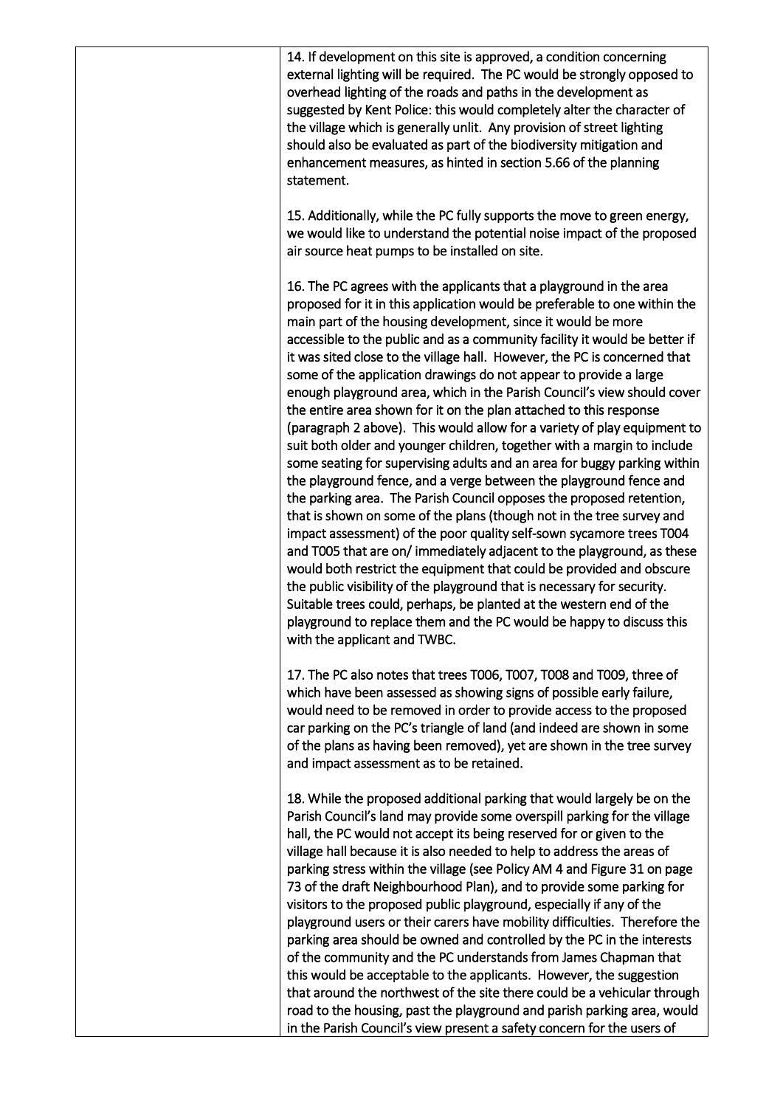14. If development on this site is approved, a condition concerning external lighting will be required. The PC would be strongly opposed to overhead lighting of the roads and paths in the development as suggested by Kent Police: this would completely alter the character of the village which is generally unlit. Any provision of street lighting should also be evaluated as part of the biodiversity mitigation and enhancement measures, as hinted in section 5.66 of the planning statement.

15. Additionally, while the PC fully supports the move to green energy, we would like to understand the potential noise impact of the proposed air source heat pumps to be installed on site.

16. The PC agrees with the applicants that a playground in the area proposed for it in this application would be preferable to one within the main part of the housing development, since it would be more accessible to the public and as a community facility it would be better if it was sited close to the village hall. However, the PC is concerned that some of the application drawings do not appear to provide a large enough playground area, which in the Parish Council's view should cover the entire area shown for it on the plan attached to this response (paragraph 2 above). This would allow for a variety of play equipment to suit both older and younger children, together with a margin to include some seating for supervising adults and an area for buggy parking within the playground fence, and a verge between the playground fence and the parking area. The Parish Council opposes the proposed retention, that is shown on some of the plans (though not in the tree survey and impact assessment) of the poor quality self-sown sycamore trees T004 and T005 that are on/ immediately adjacent to the playground, as these would both restrict the equipment that could be provided and obscure the public visibility of the playground that is necessary for security. Suitable trees could, perhaps, be planted at the western end of the playground to replace them and the PC would be happy to discuss this with the applicant and TWBC.

17. The PC also notes that trees T006, T007, T008 and T009, three of which have been assessed as showing signs of possible early failure, would need to be removed in order to provide access to the proposed car parking on the PC's triangle of land (and indeed are shown in some of the plans as having been removed), yet are shown in the tree survey and impact assessment as to be retained.

18. While the proposed additional parking that would largely be on the Parish Council's land may provide some overspill parking for the village hall, the PC would not accept its being reserved for or given to the village hall because it is also needed to help to address the areas of parking stress within the village (see Policy AM 4 and Figure 31 on page 73 of the draft Neighbourhood Plan), and to provide some parking for visitors to the proposed public playground, especially if any of the playground users or their carers have mobility difficulties. Therefore the parking area should be owned and controlled by the PC in the interests of the community and the PC understands from James Chapman that this would be acceptable to the applicants. However, the suggestion that around the northwest of the site there could be a vehicular through road to the housing, past the playground and parish parking area, would in the Parish Council's view present a safety concern for the users of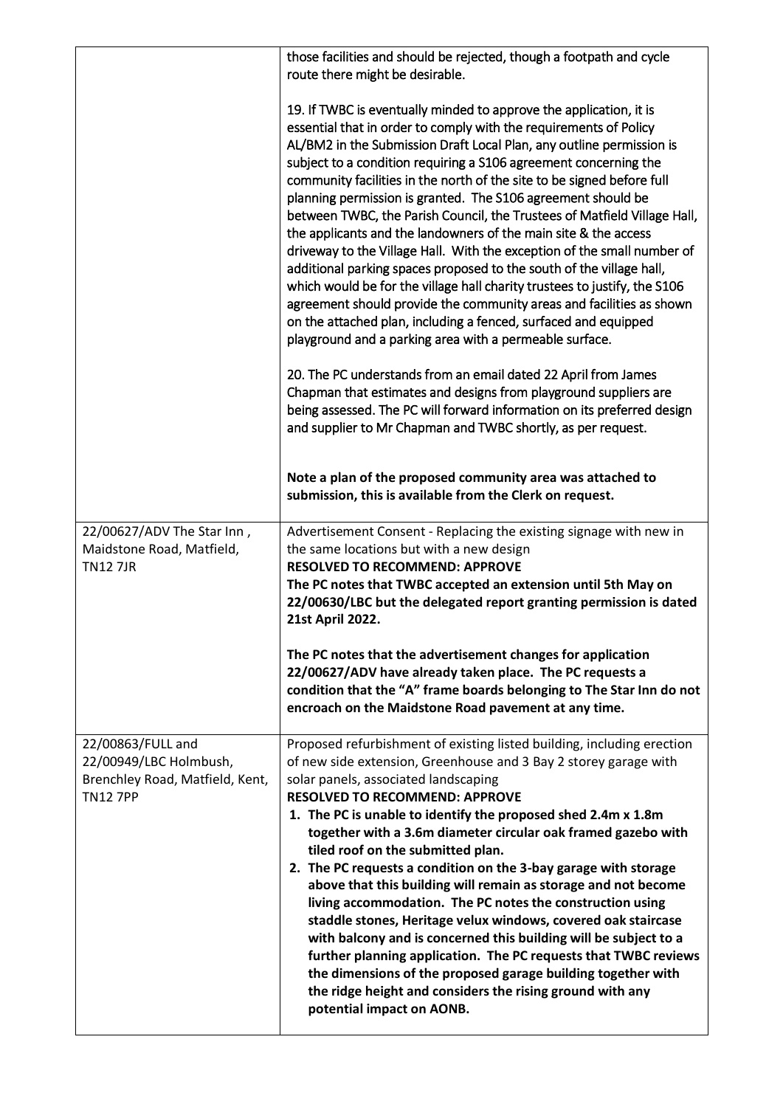|                                                                                                   | those facilities and should be rejected, though a footpath and cycle<br>route there might be desirable.                                                                                                                                                                                                                                                                                                                                                                                                                                                                                                                                                                                                                                                                                                                                                                                                                                                                                                            |  |
|---------------------------------------------------------------------------------------------------|--------------------------------------------------------------------------------------------------------------------------------------------------------------------------------------------------------------------------------------------------------------------------------------------------------------------------------------------------------------------------------------------------------------------------------------------------------------------------------------------------------------------------------------------------------------------------------------------------------------------------------------------------------------------------------------------------------------------------------------------------------------------------------------------------------------------------------------------------------------------------------------------------------------------------------------------------------------------------------------------------------------------|--|
|                                                                                                   | 19. If TWBC is eventually minded to approve the application, it is<br>essential that in order to comply with the requirements of Policy<br>AL/BM2 in the Submission Draft Local Plan, any outline permission is<br>subject to a condition requiring a S106 agreement concerning the<br>community facilities in the north of the site to be signed before full<br>planning permission is granted. The S106 agreement should be<br>between TWBC, the Parish Council, the Trustees of Matfield Village Hall,<br>the applicants and the landowners of the main site & the access<br>driveway to the Village Hall. With the exception of the small number of<br>additional parking spaces proposed to the south of the village hall,<br>which would be for the village hall charity trustees to justify, the S106<br>agreement should provide the community areas and facilities as shown<br>on the attached plan, including a fenced, surfaced and equipped<br>playground and a parking area with a permeable surface. |  |
|                                                                                                   | 20. The PC understands from an email dated 22 April from James<br>Chapman that estimates and designs from playground suppliers are<br>being assessed. The PC will forward information on its preferred design<br>and supplier to Mr Chapman and TWBC shortly, as per request.<br>Note a plan of the proposed community area was attached to                                                                                                                                                                                                                                                                                                                                                                                                                                                                                                                                                                                                                                                                        |  |
|                                                                                                   | submission, this is available from the Clerk on request.                                                                                                                                                                                                                                                                                                                                                                                                                                                                                                                                                                                                                                                                                                                                                                                                                                                                                                                                                           |  |
| 22/00627/ADV The Star Inn,<br>Maidstone Road, Matfield,<br><b>TN127JR</b>                         | Advertisement Consent - Replacing the existing signage with new in<br>the same locations but with a new design<br><b>RESOLVED TO RECOMMEND: APPROVE</b><br>The PC notes that TWBC accepted an extension until 5th May on<br>22/00630/LBC but the delegated report granting permission is dated<br>21st April 2022.                                                                                                                                                                                                                                                                                                                                                                                                                                                                                                                                                                                                                                                                                                 |  |
|                                                                                                   | The PC notes that the advertisement changes for application<br>22/00627/ADV have already taken place. The PC requests a<br>condition that the "A" frame boards belonging to The Star Inn do not<br>encroach on the Maidstone Road pavement at any time.                                                                                                                                                                                                                                                                                                                                                                                                                                                                                                                                                                                                                                                                                                                                                            |  |
| 22/00863/FULL and<br>22/00949/LBC Holmbush,<br>Brenchley Road, Matfield, Kent,<br><b>TN12 7PP</b> | Proposed refurbishment of existing listed building, including erection<br>of new side extension, Greenhouse and 3 Bay 2 storey garage with<br>solar panels, associated landscaping<br><b>RESOLVED TO RECOMMEND: APPROVE</b><br>1. The PC is unable to identify the proposed shed 2.4m x 1.8m<br>together with a 3.6m diameter circular oak framed gazebo with<br>tiled roof on the submitted plan.<br>2. The PC requests a condition on the 3-bay garage with storage<br>above that this building will remain as storage and not become<br>living accommodation. The PC notes the construction using<br>staddle stones, Heritage velux windows, covered oak staircase<br>with balcony and is concerned this building will be subject to a<br>further planning application. The PC requests that TWBC reviews<br>the dimensions of the proposed garage building together with<br>the ridge height and considers the rising ground with any<br>potential impact on AONB.                                             |  |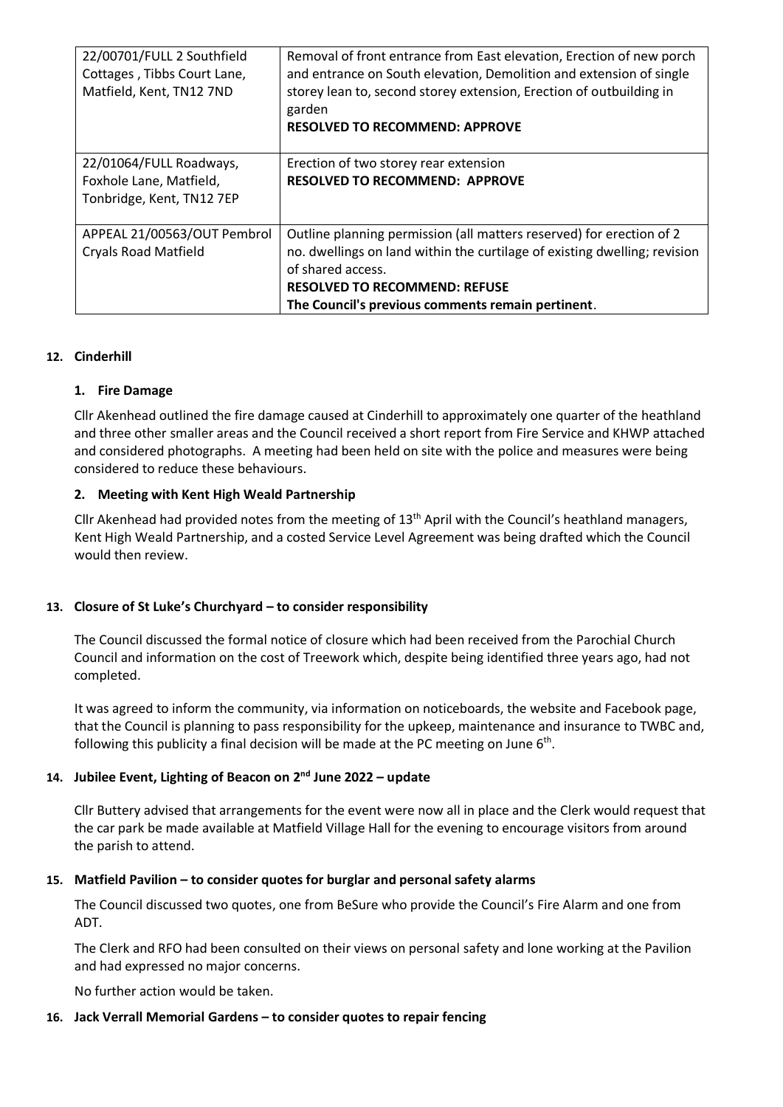| 22/00701/FULL 2 Southfield<br>Cottages, Tibbs Court Lane,<br>Matfield, Kent, TN12 7ND | Removal of front entrance from East elevation, Erection of new porch<br>and entrance on South elevation, Demolition and extension of single<br>storey lean to, second storey extension, Erection of outbuilding in<br>garden<br><b>RESOLVED TO RECOMMEND: APPROVE</b> |
|---------------------------------------------------------------------------------------|-----------------------------------------------------------------------------------------------------------------------------------------------------------------------------------------------------------------------------------------------------------------------|
| 22/01064/FULL Roadways,<br>Foxhole Lane, Matfield,<br>Tonbridge, Kent, TN12 7EP       | Erection of two storey rear extension<br><b>RESOLVED TO RECOMMEND: APPROVE</b>                                                                                                                                                                                        |
| APPEAL 21/00563/OUT Pembrol<br><b>Cryals Road Matfield</b>                            | Outline planning permission (all matters reserved) for erection of 2<br>no. dwellings on land within the curtilage of existing dwelling; revision<br>of shared access.<br><b>RESOLVED TO RECOMMEND: REFUSE</b><br>The Council's previous comments remain pertinent.   |

## **12. Cinderhill**

### **1. Fire Damage**

Cllr Akenhead outlined the fire damage caused at Cinderhill to approximately one quarter of the heathland and three other smaller areas and the Council received a short report from Fire Service and KHWP attached and considered photographs. A meeting had been held on site with the police and measures were being considered to reduce these behaviours.

### **2. Meeting with Kent High Weald Partnership**

Cllr Akenhead had provided notes from the meeting of  $13<sup>th</sup>$  April with the Council's heathland managers, Kent High Weald Partnership, and a costed Service Level Agreement was being drafted which the Council would then review.

### **13. Closure of St Luke's Churchyard – to consider responsibility**

The Council discussed the formal notice of closure which had been received from the Parochial Church Council and information on the cost of Treework which, despite being identified three years ago, had not completed.

It was agreed to inform the community, via information on noticeboards, the website and Facebook page, that the Council is planning to pass responsibility for the upkeep, maintenance and insurance to TWBC and, following this publicity a final decision will be made at the PC meeting on June  $6<sup>th</sup>$ .

### **14. Jubilee Event, Lighting of Beacon on 2 nd June 2022 – update**

Cllr Buttery advised that arrangements for the event were now all in place and the Clerk would request that the car park be made available at Matfield Village Hall for the evening to encourage visitors from around the parish to attend.

### **15. Matfield Pavilion – to consider quotes for burglar and personal safety alarms**

The Council discussed two quotes, one from BeSure who provide the Council's Fire Alarm and one from ADT.

The Clerk and RFO had been consulted on their views on personal safety and lone working at the Pavilion and had expressed no major concerns.

No further action would be taken.

### **16. Jack Verrall Memorial Gardens – to consider quotes to repair fencing**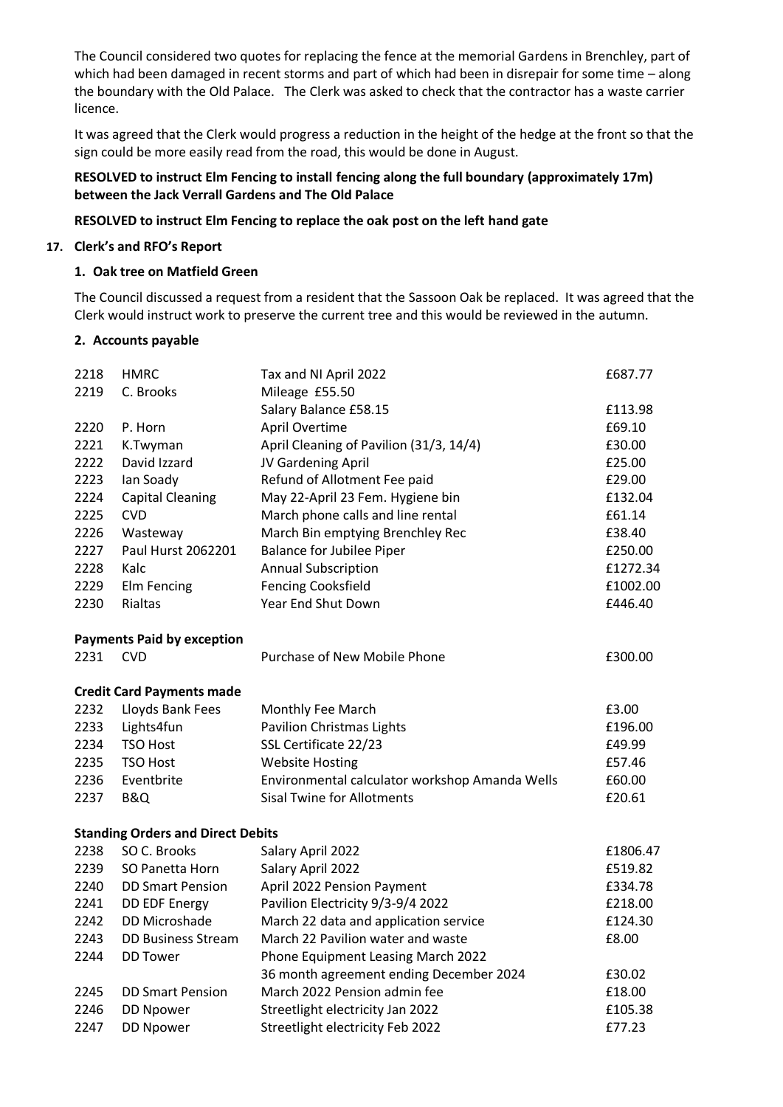The Council considered two quotes for replacing the fence at the memorial Gardens in Brenchley, part of which had been damaged in recent storms and part of which had been in disrepair for some time – along the boundary with the Old Palace. The Clerk was asked to check that the contractor has a waste carrier licence.

It was agreed that the Clerk would progress a reduction in the height of the hedge at the front so that the sign could be more easily read from the road, this would be done in August.

## **RESOLVED to instruct Elm Fencing to install fencing along the full boundary (approximately 17m) between the Jack Verrall Gardens and The Old Palace**

## **RESOLVED to instruct Elm Fencing to replace the oak post on the left hand gate**

## **17. Clerk's and RFO's Report**

## **1. Oak tree on Matfield Green**

The Council discussed a request from a resident that the Sassoon Oak be replaced. It was agreed that the Clerk would instruct work to preserve the current tree and this would be reviewed in the autumn.

## **2. Accounts payable**

| 2218 | <b>HMRC</b>                              | Tax and NI April 2022                          | £687.77           |
|------|------------------------------------------|------------------------------------------------|-------------------|
| 2219 | C. Brooks                                | Mileage £55.50                                 |                   |
| 2220 | P. Horn                                  | Salary Balance £58.15<br>April Overtime        | £113.98<br>£69.10 |
| 2221 | K.Twyman                                 | April Cleaning of Pavilion (31/3, 14/4)        | £30.00            |
| 2222 | David Izzard                             | JV Gardening April                             | £25.00            |
| 2223 | Ian Soady                                | Refund of Allotment Fee paid                   | £29.00            |
| 2224 | <b>Capital Cleaning</b>                  | May 22-April 23 Fem. Hygiene bin               | £132.04           |
| 2225 | <b>CVD</b>                               | March phone calls and line rental              | £61.14            |
| 2226 | Wasteway                                 | March Bin emptying Brenchley Rec               | £38.40            |
| 2227 | Paul Hurst 2062201                       | <b>Balance for Jubilee Piper</b>               | £250.00           |
| 2228 | Kalc                                     | <b>Annual Subscription</b>                     | £1272.34          |
| 2229 | Elm Fencing                              | <b>Fencing Cooksfield</b>                      | £1002.00          |
| 2230 | <b>Rialtas</b>                           | Year End Shut Down                             | £446.40           |
|      | <b>Payments Paid by exception</b>        |                                                |                   |
| 2231 | <b>CVD</b>                               | Purchase of New Mobile Phone                   | £300.00           |
|      | <b>Credit Card Payments made</b>         |                                                |                   |
| 2232 | Lloyds Bank Fees                         | Monthly Fee March                              | £3.00             |
| 2233 | Lights4fun                               | <b>Pavilion Christmas Lights</b>               | £196.00           |
| 2234 | <b>TSO Host</b>                          | SSL Certificate 22/23                          | £49.99            |
| 2235 | <b>TSO Host</b>                          | <b>Website Hosting</b>                         | £57.46            |
| 2236 | Eventbrite                               | Environmental calculator workshop Amanda Wells | £60.00            |
| 2237 | <b>B&amp;Q</b>                           | <b>Sisal Twine for Allotments</b>              | £20.61            |
|      | <b>Standing Orders and Direct Debits</b> |                                                |                   |
| 2238 | SO C. Brooks                             | Salary April 2022                              | £1806.47          |
| 2239 | SO Panetta Horn                          | Salary April 2022                              | £519.82           |
| 2240 | <b>DD Smart Pension</b>                  | April 2022 Pension Payment                     | £334.78           |
| 2241 | DD EDF Energy                            | Pavilion Electricity 9/3-9/4 2022              | £218.00           |
| 2242 | DD Microshade                            | March 22 data and application service          | £124.30           |
| 2243 | <b>DD Business Stream</b>                | March 22 Pavilion water and waste              | £8.00             |
| 2244 | <b>DD Tower</b>                          | Phone Equipment Leasing March 2022             |                   |
|      |                                          | 36 month agreement ending December 2024        | £30.02            |
| 2245 | <b>DD Smart Pension</b>                  | March 2022 Pension admin fee                   | £18.00            |
| 2246 | <b>DD Npower</b>                         | Streetlight electricity Jan 2022               | £105.38           |
| 2247 | <b>DD Npower</b>                         | Streetlight electricity Feb 2022               | £77.23            |
|      |                                          |                                                |                   |